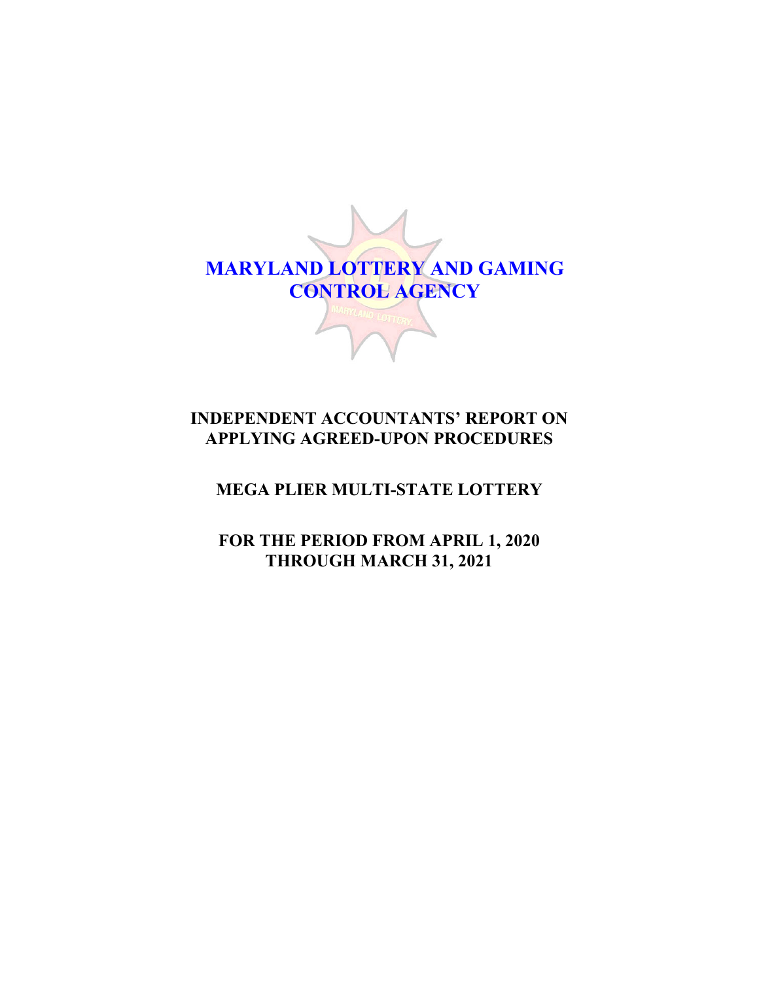

# **INDEPENDENT ACCOUNTANTS' REPORT ON APPLYING AGREED-UPON PROCEDURES**

# **MEGA PLIER MULTI-STATE LOTTERY**

**FOR THE PERIOD FROM APRIL 1, 2020 THROUGH MARCH 31, 2021**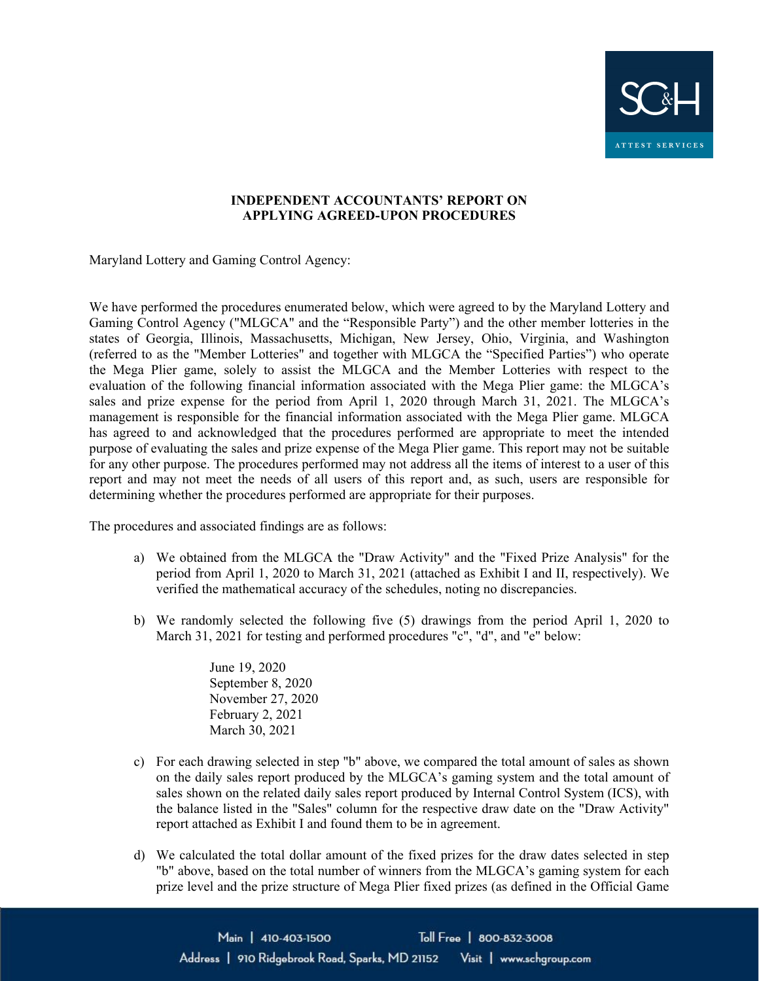

### **INDEPENDENT ACCOUNTANTS' REPORT ON APPLYING AGREED-UPON PROCEDURES**

Maryland Lottery and Gaming Control Agency:

We have performed the procedures enumerated below, which were agreed to by the Maryland Lottery and Gaming Control Agency ("MLGCA" and the "Responsible Party") and the other member lotteries in the states of Georgia, Illinois, Massachusetts, Michigan, New Jersey, Ohio, Virginia, and Washington (referred to as the "Member Lotteries" and together with MLGCA the "Specified Parties") who operate the Mega Plier game, solely to assist the MLGCA and the Member Lotteries with respect to the evaluation of the following financial information associated with the Mega Plier game: the MLGCA's sales and prize expense for the period from April 1, 2020 through March 31, 2021. The MLGCA's management is responsible for the financial information associated with the Mega Plier game. MLGCA has agreed to and acknowledged that the procedures performed are appropriate to meet the intended purpose of evaluating the sales and prize expense of the Mega Plier game. This report may not be suitable for any other purpose. The procedures performed may not address all the items of interest to a user of this report and may not meet the needs of all users of this report and, as such, users are responsible for determining whether the procedures performed are appropriate for their purposes.

The procedures and associated findings are as follows:

- a) We obtained from the MLGCA the "Draw Activity" and the "Fixed Prize Analysis" for the period from April 1, 2020 to March 31, 2021 (attached as Exhibit I and II, respectively). We verified the mathematical accuracy of the schedules, noting no discrepancies.
- b) We randomly selected the following five (5) drawings from the period April 1, 2020 to March 31, 2021 for testing and performed procedures "c", "d", and "e" below:

 June 19, 2020 September 8, 2020 November 27, 2020 February 2, 2021 March 30, 2021

- c) For each drawing selected in step "b" above, we compared the total amount of sales as shown on the daily sales report produced by the MLGCA's gaming system and the total amount of sales shown on the related daily sales report produced by Internal Control System (ICS), with the balance listed in the "Sales" column for the respective draw date on the "Draw Activity" report attached as Exhibit I and found them to be in agreement.
- d) We calculated the total dollar amount of the fixed prizes for the draw dates selected in step "b" above, based on the total number of winners from the MLGCA's gaming system for each prize level and the prize structure of Mega Plier fixed prizes (as defined in the Official Game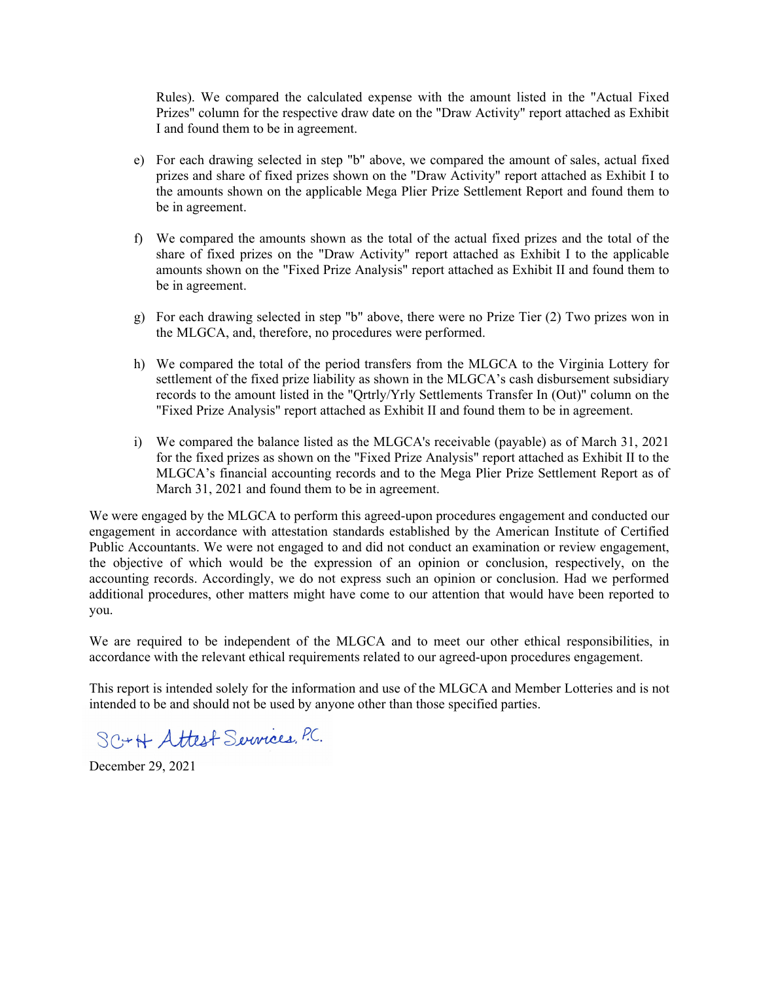Rules). We compared the calculated expense with the amount listed in the "Actual Fixed Prizes" column for the respective draw date on the "Draw Activity" report attached as Exhibit I and found them to be in agreement.

- e) For each drawing selected in step "b" above, we compared the amount of sales, actual fixed prizes and share of fixed prizes shown on the "Draw Activity" report attached as Exhibit I to the amounts shown on the applicable Mega Plier Prize Settlement Report and found them to be in agreement.
- f) We compared the amounts shown as the total of the actual fixed prizes and the total of the share of fixed prizes on the "Draw Activity" report attached as Exhibit I to the applicable amounts shown on the "Fixed Prize Analysis" report attached as Exhibit II and found them to be in agreement.
- g) For each drawing selected in step "b" above, there were no Prize Tier (2) Two prizes won in the MLGCA, and, therefore, no procedures were performed.
- h) We compared the total of the period transfers from the MLGCA to the Virginia Lottery for settlement of the fixed prize liability as shown in the MLGCA's cash disbursement subsidiary records to the amount listed in the "Qrtrly/Yrly Settlements Transfer In (Out)" column on the "Fixed Prize Analysis" report attached as Exhibit II and found them to be in agreement.
- i) We compared the balance listed as the MLGCA's receivable (payable) as of March 31, 2021 for the fixed prizes as shown on the "Fixed Prize Analysis" report attached as Exhibit II to the MLGCA's financial accounting records and to the Mega Plier Prize Settlement Report as of March 31, 2021 and found them to be in agreement.

We were engaged by the MLGCA to perform this agreed-upon procedures engagement and conducted our engagement in accordance with attestation standards established by the American Institute of Certified Public Accountants. We were not engaged to and did not conduct an examination or review engagement, the objective of which would be the expression of an opinion or conclusion, respectively, on the accounting records. Accordingly, we do not express such an opinion or conclusion. Had we performed additional procedures, other matters might have come to our attention that would have been reported to you.

We are required to be independent of the MLGCA and to meet our other ethical responsibilities, in accordance with the relevant ethical requirements related to our agreed-upon procedures engagement.

This report is intended solely for the information and use of the MLGCA and Member Lotteries and is not intended to be and should not be used by anyone other than those specified parties.

SC+H Attest Services, P.C.

December 29, 2021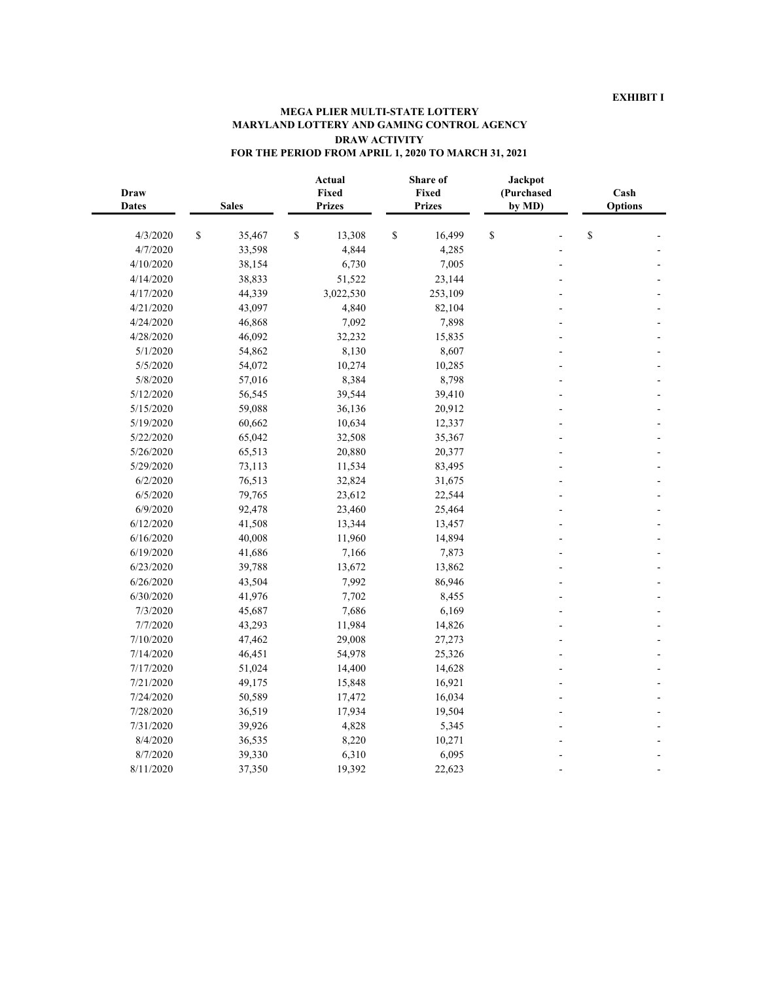#### **MEGA PLIER MULTI-STATE LOTTERY MARYLAND LOTTERY AND GAMING CONTROL AGENCY DRAW ACTIVITY FOR THE PERIOD FROM APRIL 1, 2020 TO MARCH 31, 2021**

| <b>Draw</b><br><b>Dates</b> | <b>Sales</b> |        | Actual<br>Fixed<br><b>Prizes</b> |           | Share of<br>Fixed<br><b>Prizes</b> |         | Jackpot<br>(Purchased<br>by MD) |  | Cash<br><b>Options</b> |  |
|-----------------------------|--------------|--------|----------------------------------|-----------|------------------------------------|---------|---------------------------------|--|------------------------|--|
| 4/3/2020                    | \$           | 35,467 | \$                               | 13,308    | \$                                 | 16,499  | \$                              |  | \$                     |  |
| 4/7/2020                    |              | 33,598 |                                  | 4,844     |                                    | 4,285   |                                 |  |                        |  |
| 4/10/2020                   |              | 38,154 |                                  | 6,730     |                                    | 7,005   |                                 |  |                        |  |
| 4/14/2020                   |              | 38,833 |                                  | 51,522    |                                    | 23,144  |                                 |  |                        |  |
| 4/17/2020                   |              | 44,339 |                                  | 3,022,530 |                                    | 253,109 |                                 |  |                        |  |
| 4/21/2020                   |              | 43,097 |                                  | 4,840     |                                    | 82,104  |                                 |  |                        |  |
| 4/24/2020                   |              | 46,868 |                                  | 7,092     |                                    | 7,898   |                                 |  |                        |  |
| 4/28/2020                   |              | 46,092 |                                  | 32,232    |                                    | 15,835  |                                 |  |                        |  |
| 5/1/2020                    |              | 54,862 |                                  | 8,130     |                                    | 8,607   |                                 |  |                        |  |
| 5/5/2020                    |              | 54,072 |                                  | 10,274    |                                    | 10,285  |                                 |  |                        |  |
| 5/8/2020                    |              | 57,016 |                                  | 8,384     |                                    | 8,798   |                                 |  |                        |  |
| 5/12/2020                   |              | 56,545 |                                  | 39,544    |                                    | 39,410  |                                 |  |                        |  |
| 5/15/2020                   |              | 59,088 |                                  | 36,136    |                                    | 20,912  |                                 |  |                        |  |
| 5/19/2020                   |              | 60,662 |                                  | 10,634    |                                    | 12,337  |                                 |  |                        |  |
| 5/22/2020                   |              | 65,042 |                                  | 32,508    |                                    | 35,367  |                                 |  |                        |  |
| 5/26/2020                   |              | 65,513 |                                  | 20,880    |                                    | 20,377  |                                 |  |                        |  |
| 5/29/2020                   |              | 73,113 |                                  | 11,534    |                                    | 83,495  |                                 |  |                        |  |
| 6/2/2020                    |              | 76,513 |                                  | 32,824    |                                    | 31,675  |                                 |  |                        |  |
| 6/5/2020                    |              | 79,765 |                                  | 23,612    |                                    | 22,544  |                                 |  |                        |  |
| 6/9/2020                    |              | 92,478 |                                  | 23,460    |                                    | 25,464  |                                 |  |                        |  |
| 6/12/2020                   |              | 41,508 |                                  | 13,344    |                                    | 13,457  |                                 |  |                        |  |
| 6/16/2020                   |              | 40,008 |                                  | 11,960    |                                    | 14,894  |                                 |  |                        |  |
| 6/19/2020                   |              | 41,686 |                                  | 7,166     |                                    | 7,873   |                                 |  |                        |  |
| 6/23/2020                   |              | 39,788 |                                  | 13,672    |                                    | 13,862  |                                 |  |                        |  |
| 6/26/2020                   |              | 43,504 |                                  | 7,992     |                                    | 86,946  |                                 |  |                        |  |
| 6/30/2020                   |              | 41,976 |                                  | 7,702     |                                    | 8,455   |                                 |  |                        |  |
| 7/3/2020                    |              | 45,687 |                                  | 7,686     |                                    | 6,169   |                                 |  |                        |  |
| 7/7/2020                    |              | 43,293 |                                  | 11,984    |                                    | 14,826  |                                 |  |                        |  |
| 7/10/2020                   |              | 47,462 |                                  | 29,008    |                                    | 27,273  |                                 |  |                        |  |
| 7/14/2020                   |              | 46,451 |                                  | 54,978    |                                    | 25,326  |                                 |  |                        |  |
| 7/17/2020                   |              | 51,024 |                                  | 14,400    |                                    | 14,628  |                                 |  |                        |  |
| 7/21/2020                   |              | 49,175 |                                  | 15,848    |                                    | 16,921  |                                 |  |                        |  |
| 7/24/2020                   |              | 50,589 |                                  | 17,472    |                                    | 16,034  |                                 |  |                        |  |
| 7/28/2020                   |              | 36,519 |                                  | 17,934    |                                    | 19,504  |                                 |  |                        |  |
| 7/31/2020                   |              | 39,926 |                                  | 4,828     |                                    | 5,345   |                                 |  |                        |  |
| 8/4/2020                    |              | 36,535 |                                  | 8,220     |                                    | 10,271  |                                 |  |                        |  |
| 8/7/2020                    |              | 39,330 |                                  | 6,310     |                                    | 6,095   |                                 |  |                        |  |
| 8/11/2020                   |              | 37,350 |                                  | 19,392    |                                    | 22,623  |                                 |  |                        |  |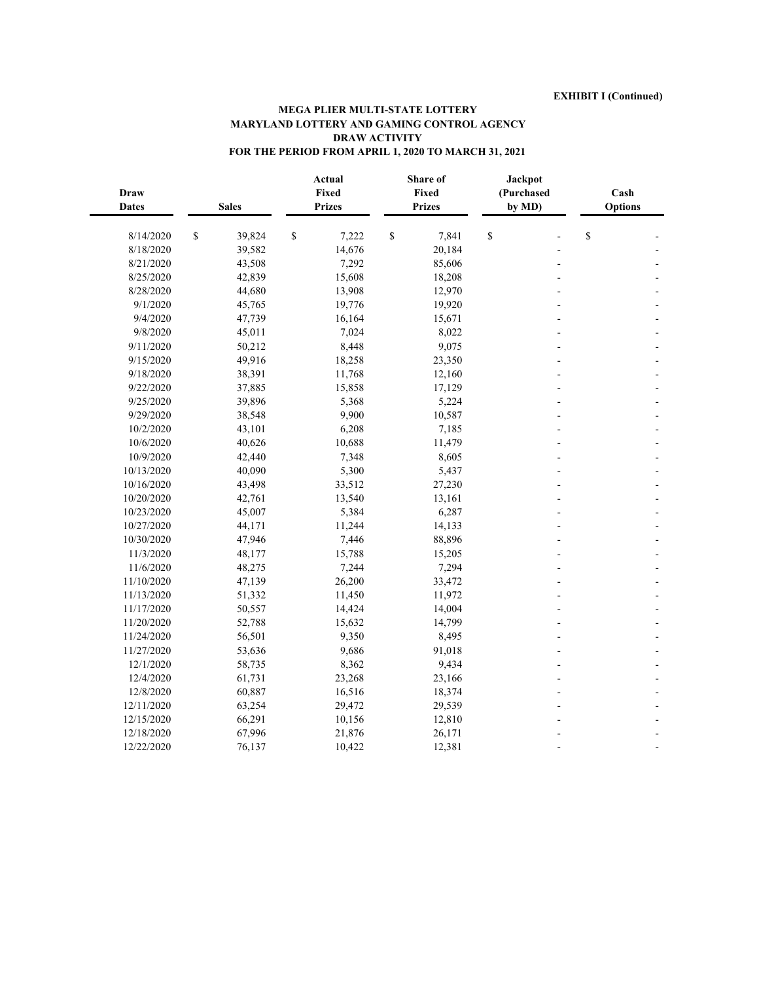#### **MEGA PLIER MULTI-STATE LOTTERY MARYLAND LOTTERY AND GAMING CONTROL AGENCY DRAW ACTIVITY FOR THE PERIOD FROM APRIL 1, 2020 TO MARCH 31, 2021**

| <b>Draw</b><br><b>Dates</b> | <b>Sales</b>                                                          |        | Actual<br>Fixed<br><b>Prizes</b> |        |              | Share of<br>Fixed<br><b>Prizes</b> | <b>Jackpot</b><br>(Purchased<br>by MD) |    | Cash<br><b>Options</b> |  |
|-----------------------------|-----------------------------------------------------------------------|--------|----------------------------------|--------|--------------|------------------------------------|----------------------------------------|----|------------------------|--|
| 8/14/2020                   | $\mathbb{S}% _{t}\left( t\right) \equiv\mathbb{S}_{t}\left( t\right)$ | 39,824 | \$                               | 7,222  | $\mathbb{S}$ | 7,841                              | \$                                     |    | \$                     |  |
| 8/18/2020                   |                                                                       | 39,582 |                                  | 14,676 |              | 20,184                             |                                        |    |                        |  |
| 8/21/2020                   |                                                                       | 43,508 |                                  | 7,292  |              | 85,606                             |                                        | L, |                        |  |
| 8/25/2020                   |                                                                       | 42,839 |                                  | 15,608 |              | 18,208                             |                                        |    |                        |  |
| 8/28/2020                   |                                                                       | 44,680 |                                  | 13,908 |              | 12,970                             |                                        |    |                        |  |
| 9/1/2020                    |                                                                       | 45,765 |                                  | 19,776 |              | 19,920                             |                                        |    |                        |  |
| 9/4/2020                    |                                                                       | 47,739 |                                  | 16,164 |              | 15,671                             |                                        |    |                        |  |
| 9/8/2020                    |                                                                       | 45,011 |                                  | 7,024  |              | 8,022                              |                                        |    |                        |  |
| 9/11/2020                   |                                                                       | 50,212 |                                  | 8,448  |              | 9,075                              |                                        |    |                        |  |
| 9/15/2020                   |                                                                       | 49,916 |                                  | 18,258 |              | 23,350                             |                                        |    |                        |  |
| 9/18/2020                   |                                                                       | 38,391 |                                  | 11,768 |              | 12,160                             |                                        |    |                        |  |
| 9/22/2020                   |                                                                       | 37,885 |                                  | 15,858 |              | 17,129                             |                                        |    |                        |  |
| 9/25/2020                   |                                                                       | 39,896 |                                  | 5,368  |              | 5,224                              |                                        |    |                        |  |
| 9/29/2020                   |                                                                       | 38,548 |                                  | 9,900  |              | 10,587                             |                                        |    |                        |  |
| 10/2/2020                   |                                                                       | 43,101 |                                  | 6,208  |              | 7,185                              |                                        |    |                        |  |
| 10/6/2020                   |                                                                       | 40,626 |                                  | 10,688 |              | 11,479                             |                                        |    |                        |  |
| 10/9/2020                   |                                                                       | 42,440 |                                  | 7,348  |              | 8,605                              |                                        |    |                        |  |
| 10/13/2020                  |                                                                       | 40,090 |                                  | 5,300  |              | 5,437                              |                                        |    |                        |  |
| 10/16/2020                  |                                                                       | 43,498 |                                  | 33,512 |              | 27,230                             |                                        |    |                        |  |
| 10/20/2020                  |                                                                       | 42,761 |                                  | 13,540 |              | 13,161                             |                                        |    |                        |  |
| 10/23/2020                  |                                                                       | 45,007 |                                  | 5,384  |              | 6,287                              |                                        |    |                        |  |
| 10/27/2020                  |                                                                       | 44,171 |                                  | 11,244 |              | 14,133                             |                                        |    |                        |  |
| 10/30/2020                  |                                                                       | 47,946 |                                  | 7,446  |              | 88,896                             |                                        |    |                        |  |
| 11/3/2020                   |                                                                       | 48,177 |                                  | 15,788 |              | 15,205                             |                                        |    |                        |  |
| 11/6/2020                   |                                                                       | 48,275 |                                  | 7,244  |              | 7,294                              |                                        |    |                        |  |
| 11/10/2020                  |                                                                       | 47,139 |                                  | 26,200 |              | 33,472                             |                                        |    |                        |  |
| 11/13/2020                  |                                                                       | 51,332 |                                  | 11,450 |              | 11,972                             |                                        |    |                        |  |
| 11/17/2020                  |                                                                       | 50,557 |                                  | 14,424 |              | 14,004                             |                                        |    |                        |  |
| 11/20/2020                  |                                                                       | 52,788 |                                  | 15,632 |              | 14,799                             |                                        |    |                        |  |
| 11/24/2020                  |                                                                       | 56,501 |                                  | 9,350  |              | 8,495                              |                                        |    |                        |  |
| 11/27/2020                  |                                                                       | 53,636 |                                  | 9,686  |              | 91,018                             |                                        |    |                        |  |
| 12/1/2020                   |                                                                       | 58,735 |                                  | 8,362  |              | 9,434                              |                                        |    |                        |  |
| 12/4/2020                   |                                                                       | 61,731 |                                  | 23,268 |              | 23,166                             |                                        |    |                        |  |
| 12/8/2020                   |                                                                       | 60,887 |                                  | 16,516 |              | 18,374                             |                                        |    |                        |  |
| 12/11/2020                  |                                                                       | 63,254 |                                  | 29,472 |              | 29,539                             |                                        |    |                        |  |
| 12/15/2020                  |                                                                       | 66,291 |                                  | 10,156 |              | 12,810                             |                                        |    |                        |  |
| 12/18/2020                  |                                                                       | 67,996 |                                  | 21,876 |              | 26,171                             |                                        |    |                        |  |
| 12/22/2020                  |                                                                       | 76,137 |                                  | 10,422 |              | 12,381                             |                                        |    |                        |  |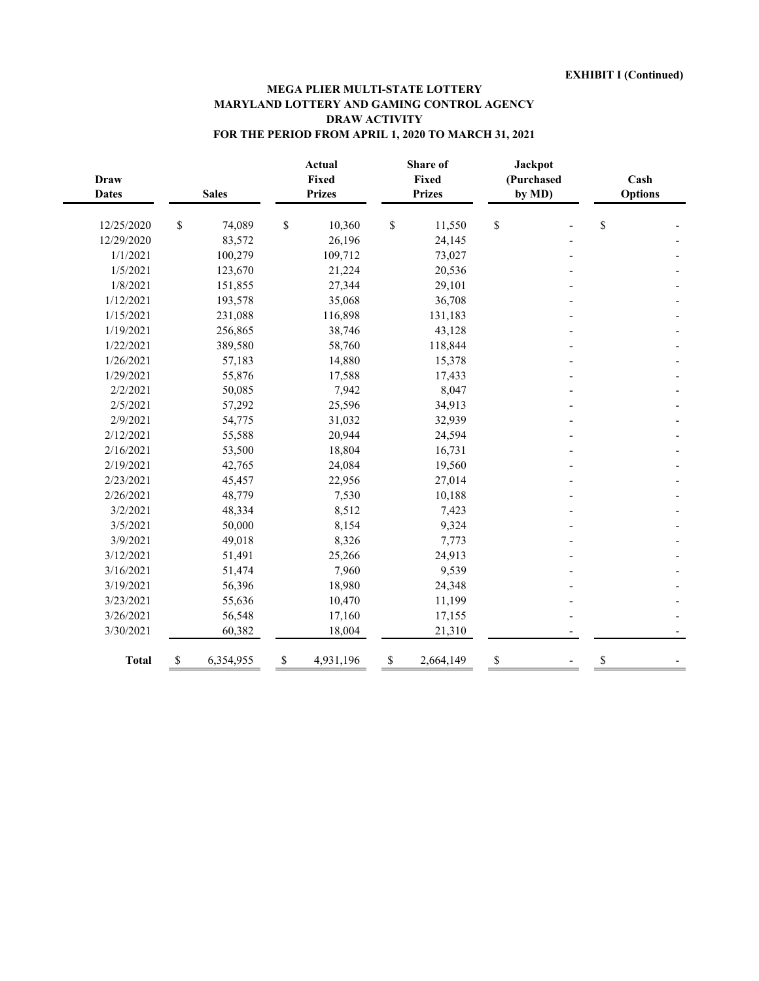### **MEGA PLIER MULTI-STATE LOTTERY MARYLAND LOTTERY AND GAMING CONTROL AGENCY DRAW ACTIVITY FOR THE PERIOD FROM APRIL 1, 2020 TO MARCH 31, 2021**

| <b>Draw</b><br><b>Dates</b> | <b>Sales</b> |           | <b>Actual</b><br>Fixed<br><b>Prizes</b> |           | <b>Share of</b><br>Fixed<br><b>Prizes</b> | <b>Jackpot</b><br>(Purchased<br>by MD) |  | Cash<br><b>Options</b> |  |
|-----------------------------|--------------|-----------|-----------------------------------------|-----------|-------------------------------------------|----------------------------------------|--|------------------------|--|
| 12/25/2020                  | \$           | 74,089    | \$                                      | 10,360    | \$<br>11,550                              | \$                                     |  | \$                     |  |
| 12/29/2020                  |              | 83,572    |                                         | 26,196    | 24,145                                    |                                        |  |                        |  |
| 1/1/2021                    |              | 100,279   |                                         | 109,712   | 73,027                                    |                                        |  |                        |  |
| 1/5/2021                    |              | 123,670   |                                         | 21,224    | 20,536                                    |                                        |  |                        |  |
| 1/8/2021                    |              | 151,855   |                                         | 27,344    | 29,101                                    |                                        |  |                        |  |
| 1/12/2021                   |              | 193,578   |                                         | 35,068    | 36,708                                    |                                        |  |                        |  |
| 1/15/2021                   |              | 231,088   |                                         | 116,898   | 131,183                                   |                                        |  |                        |  |
| 1/19/2021                   |              | 256,865   |                                         | 38,746    | 43,128                                    |                                        |  |                        |  |
| 1/22/2021                   |              | 389,580   |                                         | 58,760    | 118,844                                   |                                        |  |                        |  |
| 1/26/2021                   |              | 57,183    |                                         | 14,880    | 15,378                                    |                                        |  |                        |  |
| 1/29/2021                   |              | 55,876    |                                         | 17,588    | 17,433                                    |                                        |  |                        |  |
| 2/2/2021                    |              | 50,085    |                                         | 7,942     | 8,047                                     |                                        |  |                        |  |
| 2/5/2021                    |              | 57,292    |                                         | 25,596    | 34,913                                    |                                        |  |                        |  |
| 2/9/2021                    |              | 54,775    |                                         | 31,032    | 32,939                                    |                                        |  |                        |  |
| 2/12/2021                   |              | 55,588    |                                         | 20,944    | 24,594                                    |                                        |  |                        |  |
| 2/16/2021                   |              | 53,500    |                                         | 18,804    | 16,731                                    |                                        |  |                        |  |
| 2/19/2021                   |              | 42,765    |                                         | 24,084    | 19,560                                    |                                        |  |                        |  |
| 2/23/2021                   |              | 45,457    |                                         | 22,956    | 27,014                                    |                                        |  |                        |  |
| 2/26/2021                   |              | 48,779    |                                         | 7,530     | 10,188                                    |                                        |  |                        |  |
| 3/2/2021                    |              | 48,334    |                                         | 8,512     | 7,423                                     |                                        |  |                        |  |
| 3/5/2021                    |              | 50,000    |                                         | 8,154     | 9,324                                     |                                        |  |                        |  |
| 3/9/2021                    |              | 49,018    |                                         | 8,326     | 7,773                                     |                                        |  |                        |  |
| 3/12/2021                   |              | 51,491    |                                         | 25,266    | 24,913                                    |                                        |  |                        |  |
| 3/16/2021                   |              | 51,474    |                                         | 7,960     | 9,539                                     |                                        |  |                        |  |
| 3/19/2021                   |              | 56,396    |                                         | 18,980    | 24,348                                    |                                        |  |                        |  |
| 3/23/2021                   |              | 55,636    |                                         | 10,470    | 11,199                                    |                                        |  |                        |  |
| 3/26/2021                   |              | 56,548    |                                         | 17,160    | 17,155                                    |                                        |  |                        |  |
| 3/30/2021                   |              | 60,382    |                                         | 18,004    | 21,310                                    |                                        |  |                        |  |
| <b>Total</b>                | \$           | 6,354,955 | $\mathbb S$                             | 4,931,196 | \$<br>2,664,149                           | $\mathbb{S}$                           |  | \$                     |  |